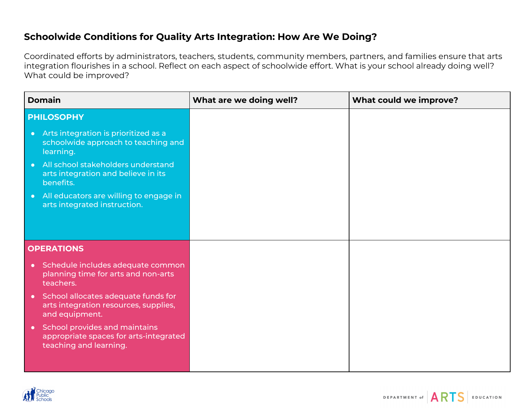## **Schoolwide Conditions for Quality Arts Integration: How Are We Doing?**

Coordinated efforts by administrators, teachers, students, community members, partners, and families ensure that arts integration flourishes in a school. Reflect on each aspect of schoolwide effort. What is your school already doing well? What could be improved?

| <b>Domain</b>                                                                                                  | What are we doing well? | What could we improve? |
|----------------------------------------------------------------------------------------------------------------|-------------------------|------------------------|
| <b>PHILOSOPHY</b>                                                                                              |                         |                        |
| Arts integration is prioritized as a<br>$\bullet$<br>schoolwide approach to teaching and<br>learning.          |                         |                        |
| All school stakeholders understand<br>$\bullet$<br>arts integration and believe in its<br>benefits.            |                         |                        |
| All educators are willing to engage in<br>$\bullet$<br>arts integrated instruction.                            |                         |                        |
|                                                                                                                |                         |                        |
| <b>OPERATIONS</b>                                                                                              |                         |                        |
| Schedule includes adequate common<br>$\bullet$<br>planning time for arts and non-arts<br>teachers.             |                         |                        |
| School allocates adequate funds for<br>$\bullet$<br>arts integration resources, supplies,<br>and equipment.    |                         |                        |
| School provides and maintains<br>$\bullet$<br>appropriate spaces for arts-integrated<br>teaching and learning. |                         |                        |

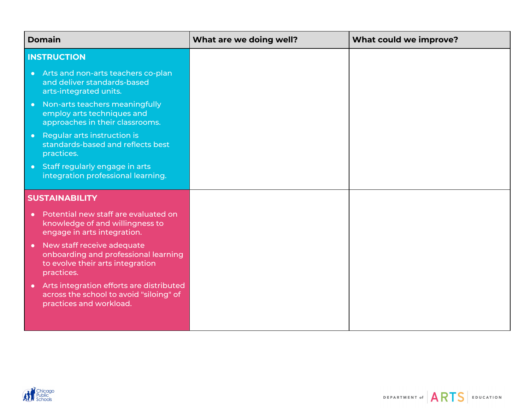|                       | <b>Domain</b>                                                                                                        | What are we doing well? | What could we improve? |
|-----------------------|----------------------------------------------------------------------------------------------------------------------|-------------------------|------------------------|
|                       | <b>INSTRUCTION</b>                                                                                                   |                         |                        |
| $\bullet$             | Arts and non-arts teachers co-plan<br>and deliver standards-based<br>arts-integrated units.                          |                         |                        |
| $\bullet$             | Non-arts teachers meaningfully<br>employ arts techniques and<br>approaches in their classrooms.                      |                         |                        |
| $\bullet$             | Regular arts instruction is<br>standards-based and reflects best<br>practices.                                       |                         |                        |
| $\bullet$             | Staff regularly engage in arts<br>integration professional learning.                                                 |                         |                        |
| <b>SUSTAINABILITY</b> |                                                                                                                      |                         |                        |
|                       | Potential new staff are evaluated on<br>knowledge of and willingness to<br>engage in arts integration.               |                         |                        |
| $\bullet$             | New staff receive adequate<br>onboarding and professional learning<br>to evolve their arts integration<br>practices. |                         |                        |
|                       | Arts integration efforts are distributed<br>across the school to avoid "siloing" of<br>practices and workload.       |                         |                        |